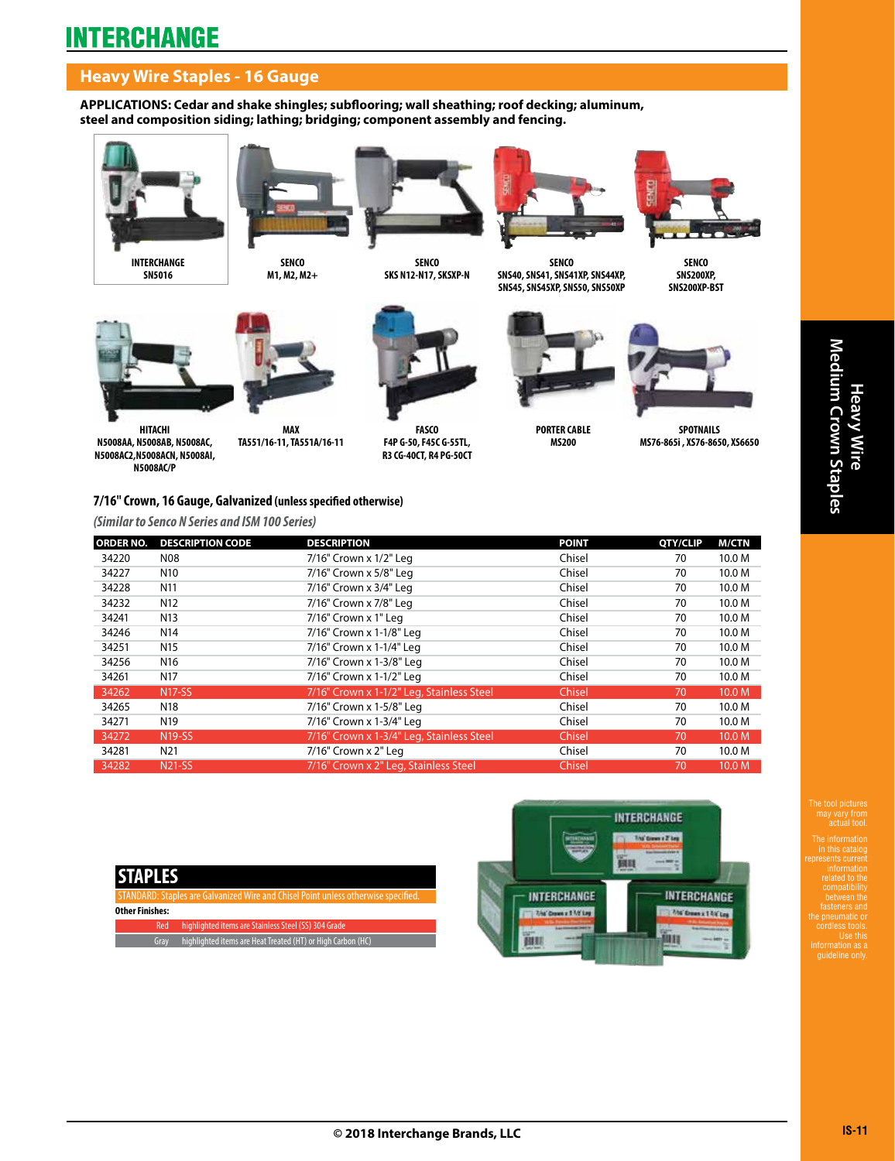## **Heavy Wire Staples - 16 Gauge**

**APPLICATIONS: Cedar and shake shingles; subflooring; wall sheathing; roof decking; aluminum, steel and composition siding; lathing; bridging; component assembly and fencing.**







**SENCO** 



**SENCO SNS40, SNS41, SNS41XP, SNS44XP, SNS45, SNS45XP, SNS50, SNS50XP**



**SENCO SNS200XP, SNS200XP-BST**



**HITACHI N5008AA, N5008AB, N5008AC, N5008AC2,N5008ACN, N5008AI, N5008AC/P**

**MAX TA551/16-11, TA551A/16-11**



**SKS N12-N17, SKSXP-N**

**FASCO F4P G-50, F45C G-55TL, R3 CG-40CT, R4 PG-50CT**



**MS200** 



**SPOTNAILS MS76-865i , XS76-8650, XS6650**

### **7/16" Crown, 16 Gauge, Galvanized (unless specified otherwise)**

*(Similar to Senco N Series and ISM 100 Series)*

| <b>ORDER NO.</b> | <b>DESCRIPTION CODE</b> | <b>DESCRIPTION</b>                        | <b>POINT</b> | QTY/CLIP | <b>M/CTN</b>      |
|------------------|-------------------------|-------------------------------------------|--------------|----------|-------------------|
| 34220            | N08                     | 7/16" Crown x 1/2" Leg                    | Chisel       | 70       | 10.0 M            |
| 34227            | N <sub>10</sub>         | 7/16" Crown x 5/8" Leg                    | Chisel       | 70       | 10.0 M            |
| 34228            | N <sub>11</sub>         | 7/16" Crown x 3/4" Leg                    | Chisel       | 70       | 10.0 M            |
| 34232            | N <sub>12</sub>         | 7/16" Crown x 7/8" Leg                    | Chisel       | 70       | 10.0 M            |
| 34241            | N <sub>13</sub>         | 7/16" Crown x 1" Leg                      | Chisel       | 70       | 10.0 M            |
| 34246            | N <sub>14</sub>         | 7/16" Crown x 1-1/8" Leg                  | Chisel       | 70       | 10.0 M            |
| 34251            | N <sub>15</sub>         | 7/16" Crown x 1-1/4" Leg                  | Chisel       | 70       | 10.0 M            |
| 34256            | N <sub>16</sub>         | 7/16" Crown x 1-3/8" Leg                  | Chisel       | 70       | 10.0 M            |
| 34261            | N <sub>17</sub>         | 7/16" Crown x 1-1/2" Leg                  | Chisel       | 70       | 10.0 M            |
| 34262            | <b>N17-SS</b>           | 7/16" Crown x 1-1/2" Leg, Stainless Steel | Chisel       | 70       | 10.0 <sub>M</sub> |
| 34265            | N <sub>18</sub>         | 7/16" Crown x 1-5/8" Leg                  | Chisel       | 70       | 10.0 M            |
| 34271            | N <sub>19</sub>         | 7/16" Crown x 1-3/4" Leg                  | Chisel       | 70       | 10.0 M            |
| 34272            | <b>N19-SS</b>           | 7/16" Crown x 1-3/4" Leg, Stainless Steel | Chisel       | 70       | 10.0 <sub>M</sub> |
| 34281            | N21                     | 7/16" Crown x 2" Leg                      | Chisel       | 70       | 10.0 M            |
| 34282            | <b>N21-SS</b>           | 7/16" Crown x 2" Leg, Stainless Steel     | Chisel       | 70       | 10.0 <sub>M</sub> |

Galvanized Wire and Chisel Point unless otherwise specifi

**Other Finishes:**

Red highlighted items are Stainless Steel (SS) 304 Grade Gray highlighted items are Heat Treated (HT) or High Carbon (HC)



The tool pictures may vary from The information

in this catalog represents current related to the between the fasteners and the pneumatic or cordless tools. Use this information as a guideline only.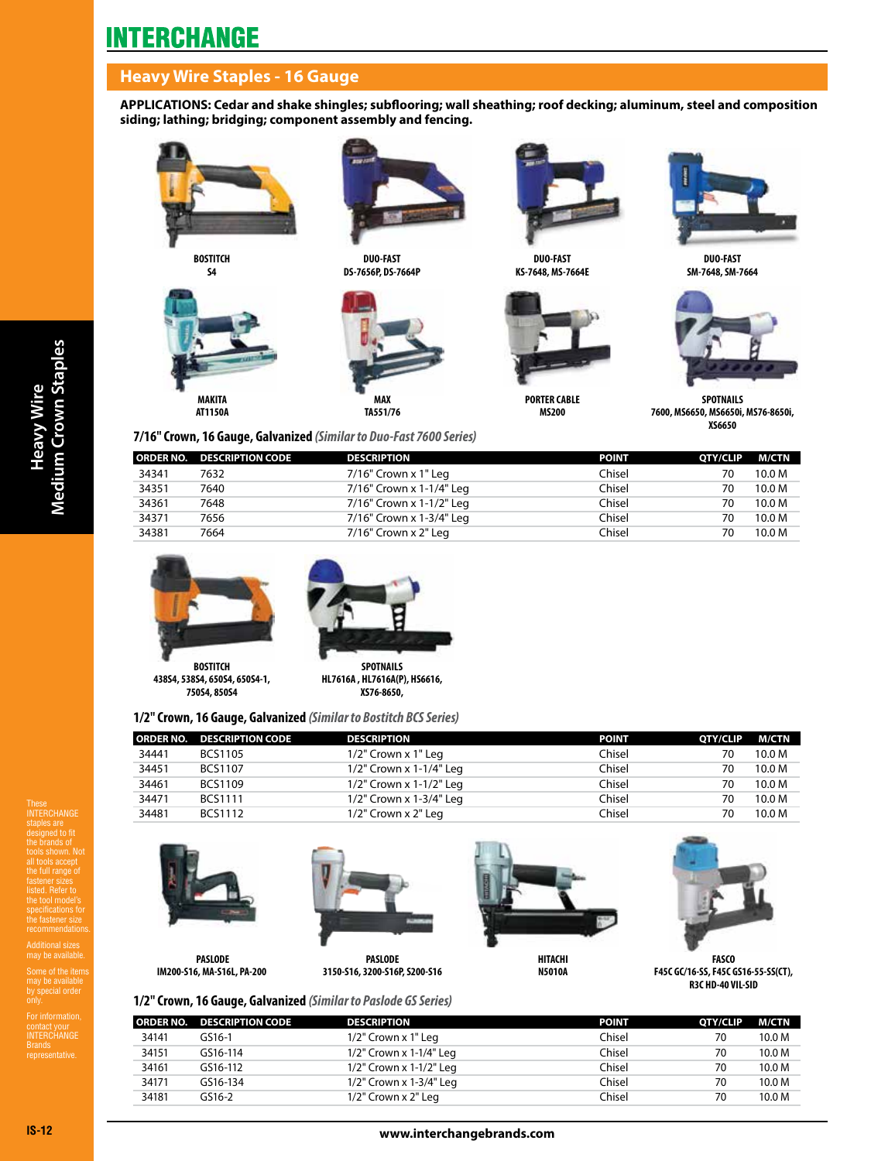## **Heavy Wire Staples - 16 Gauge**

**APPLICATIONS: Cedar and shake shingles; subflooring; wall sheathing; roof decking; aluminum, steel and composition siding; lathing; bridging; component assembly and fencing.**



**BOSTITCH** 





**DUO-FAST DS-7656P, DS-7664P** 





**DUO-FAST KS-7648, MS-7664E** 



**MS200**

**DUO-FAST SM-7648, SM-7664**



**SPOTNAILS 7600, MS6650, MS6650i, MS76-8650i, XS6650**

#### **7/16" Crown, 16 Gauge, Galvanized** *(Similar to Duo-Fast 7600 Series)*

|       | ORDER NO. DESCRIPTION CODE | <b>DESCRIPTION</b>       | <b>POINT</b> | <b>OTY/CLIP</b> | M/CTN             |
|-------|----------------------------|--------------------------|--------------|-----------------|-------------------|
| 34341 | 7632                       | 7/16" Crown x 1" Leg     | Chisel       | 70              | 10.0 M            |
| 34351 | 7640                       | 7/16" Crown x 1-1/4" Leg | Chisel       | 70              | 10.0 <sub>M</sub> |
| 34361 | 7648                       | 7/16" Crown x 1-1/2" Leg | Chisel       | 70              | 10.0 <sub>M</sub> |
| 34371 | 7656                       | 7/16" Crown x 1-3/4" Leg | Chisel       | 70              | 10.0 M            |
| 34381 | 7664                       | 7/16" Crown x 2" Leg     | Chisel       | 70              | 10.0 M            |
|       |                            |                          |              |                 |                   |





**438S4, 538S4, 650S4, 650S4-1, 750S4, 850S4**

**SPOTNAILS HL7616A , HL7616A(P), HS6616, XS76-8650,**

## **1/2" Crown, 16 Gauge, Galvanized** *(Similar to Bostitch BCS Series)*

| <b>ORDER NO.</b> | <b>DESCRIPTION CODE</b> | <b>DESCRIPTION</b>        | <b>POINT</b> | <b>OTY/CLIP</b> | M/CTN  |
|------------------|-------------------------|---------------------------|--------------|-----------------|--------|
| 34441            | <b>BCS1105</b>          | $1/2$ " Crown x $1$ " Leg | Chisel       | 70              | 10.0 M |
| 34451            | <b>BCS1107</b>          | 1/2" Crown x 1-1/4" Leg   | Chisel       | 70              | 10.0 M |
| 34461            | <b>BCS1109</b>          | 1/2" Crown x 1-1/2" Leg   | Chisel       | 70              | 10.0 M |
| 34471            | <b>BCS1111</b>          | 1/2" Crown x 1-3/4" Leg   | Chisel       | 70              | 10.0 M |
| 34481            | BCS1112                 | $1/2$ " Crown x $2$ " Leg | Chisel       | 70              | 10.0 M |

These INTERCHANGE designed to fit the brands of tools shown. Not all tools accept the full range of fastener sizes listed. Refer to the tool model's the fastener size

Additional sizes may be available.

may be available<br>by special order

contact your<br>INTERCHANGE Brands representative.



**IM200-S16, MA-S16L, PA-200** 



**3150-S16, 3200-S16P, S200-S16**





**FASCO F45C GC/16-SS, F45C GS16-55-SS(CT), R3C HD-40 VIL-SID**

## **1/2" Crown, 16 Gauge, Galvanized** *(Similar to Paslode GS Series)*

|       | ORDER NO. DESCRIPTION CODE | <b>DESCRIPTION</b>      | <b>POINT</b> | <b>OTY/CLIP</b> | M/CTN  |
|-------|----------------------------|-------------------------|--------------|-----------------|--------|
| 34141 | GS16-1                     | $1/2$ " Crown x 1" Leg  | Chisel       | 70              | 10.0 M |
| 34151 | GS16-114                   | 1/2" Crown x 1-1/4" Leg | Chisel       | 70              | 10.0 M |
| 34161 | GS16-112                   | 1/2" Crown x 1-1/2" Leg | Chisel       | 70              | 10.0 M |
| 34171 | GS16-134                   | 1/2" Crown x 1-3/4" Leg | Chisel       | 70              | 10.0 M |
| 34181 | GS16-2                     | $1/2$ " Crown x 2" Leg  | Chisel       | 70              | 10.0 M |
|       |                            |                         |              |                 |        |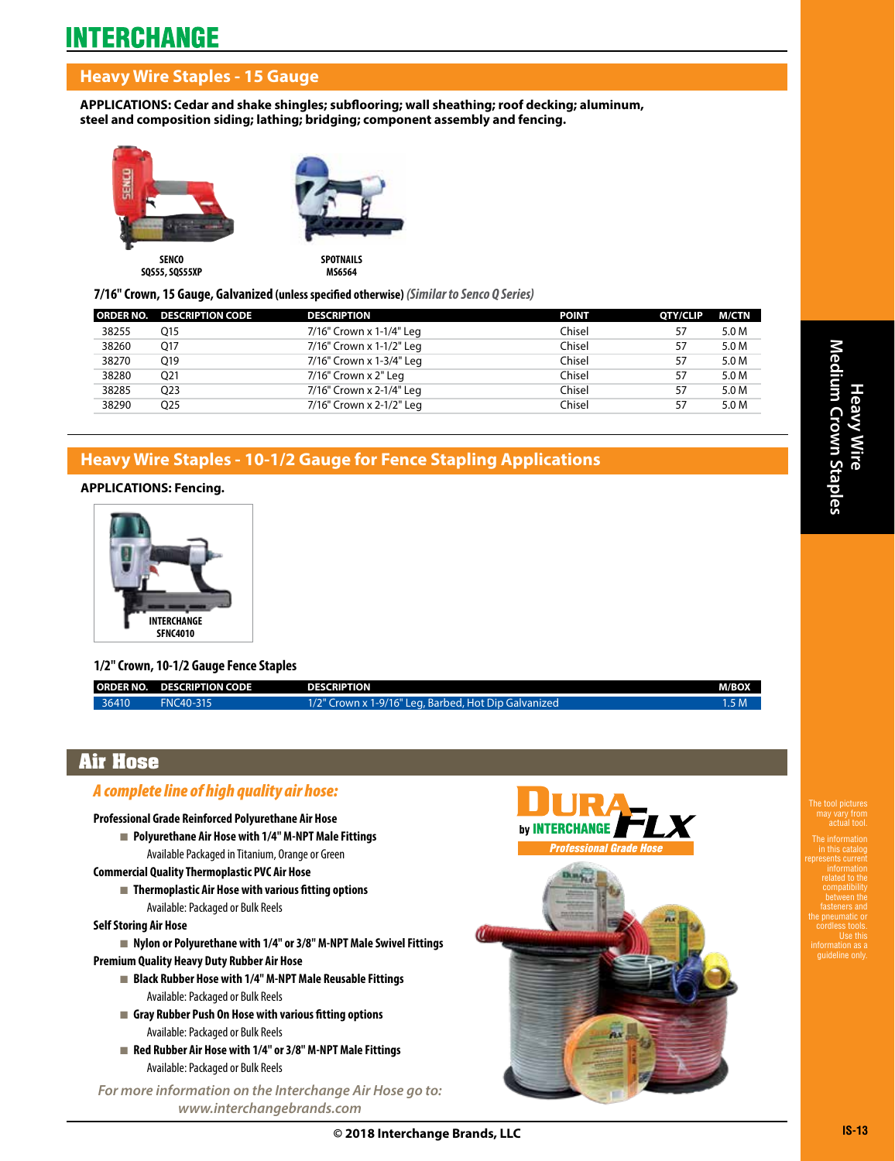## **Heavy Wire Staples - 15 Gauge**

**APPLICATIONS: Cedar and shake shingles; subflooring; wall sheathing; roof decking; aluminum, steel and composition siding; lathing; bridging; component assembly and fencing.**



**7/16" Crown, 15 Gauge, Galvanized (unless specified otherwise)** *(Similar to Senco Q Series)*

|       | <b>ORDER NO. DESCRIPTION CODE</b> | <b>DESCRIPTION</b>       | <b>POINT</b> | <b>OTY/CLIP</b> | M/CTN |
|-------|-----------------------------------|--------------------------|--------------|-----------------|-------|
| 38255 | O15                               | 7/16" Crown x 1-1/4" Leg | Chisel       | 57              | 5.0 M |
| 38260 | 017                               | 7/16" Crown x 1-1/2" Leg | Chisel       | 57              | 5.0 M |
| 38270 | O19                               | 7/16" Crown x 1-3/4" Leg | Chisel       | 57              | 5.0 M |
| 38280 | Q21                               | 7/16" Crown x 2" Leg     | Chisel       | 57              | 5.0 M |
| 38285 | O <sub>2</sub> 3                  | 7/16" Crown x 2-1/4" Leg | Chisel       | 57              | 5.0 M |
| 38290 | O25                               | 7/16" Crown x 2-1/2" Leg | Chisel       | 57              | 5.0 M |

## **Heavy Wire Staples - 10-1/2 Gauge for Fence Stapling Applications**

### **APPLICATIONS: Fencing.**



### **1/2" Crown, 10-1/2 Gauge Fence Staples**

|       | ORDER NO. DESCRIPTION CODE | <b>DESCRIPTION</b>                                   | <b>M/BOX</b> |
|-------|----------------------------|------------------------------------------------------|--------------|
| 36410 | FNC40-315                  | 1/2" Crown x 1-9/16" Leg, Barbed, Hot Dip Galvanized | 5M           |

## **Air Hose**

## *A complete line of high quality air hose:*

#### **Professional Grade Reinforced Polyurethane Air Hose**

- Polyurethane Air Hose with 1/4" M-NPT Male Fittings Available Packaged in Titanium, Orange or Green
- **Commercial Quality Thermoplastic PVC Air Hose**
	- Thermoplastic Air Hose with various fitting options Available: Packaged or Bulk Reels

#### **Self Storing Air Hose**

- Nylon or Polyurethane with 1/4" or 3/8" M-NPT Male Swivel Fittings
- **Premium Quality Heavy Duty Rubber Air Hose**
	- Black Rubber Hose with 1/4" M-NPT Male Reusable Fittings Available: Packaged or Bulk Reels
	- Gray Rubber Push On Hose with various fitting options Available: Packaged or Bulk Reels
	- Red Rubber Air Hose with 1/4" or 3/8" M-NPT Male Fittings Available: Packaged or Bulk Reels

*For more information on the Interchange Air Hose go to: www.interchangebrands.com*



**© 2018 Interchange Brands, LLC**

The tool pictures

The information in this catalog represents current related to the between the fasteners and the pneumatic or cordless tools. Use this guideline only.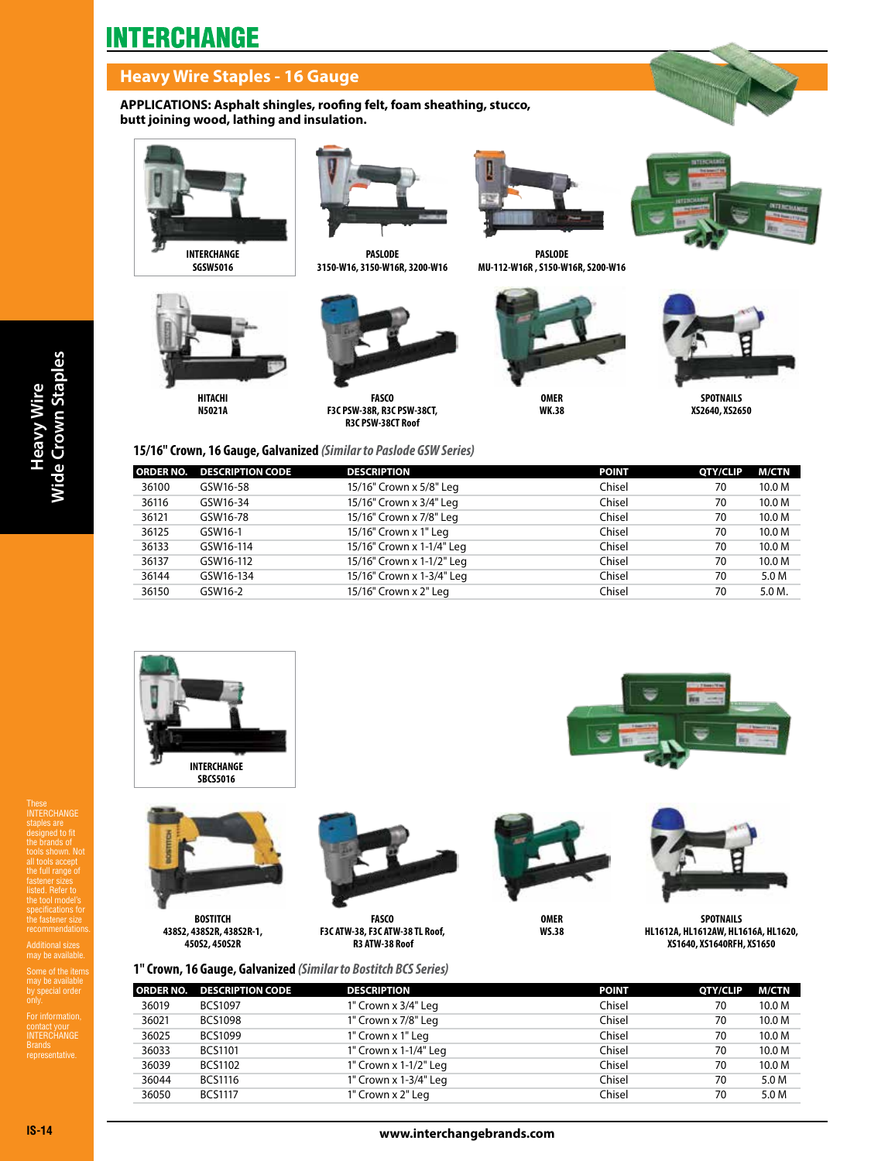## **Heavy Wire Staples - 16 Gauge**

**APPLICATIONS: Asphalt shingles, roofing felt, foam sheathing, stucco, butt joining wood, lathing and insulation.**



**INTERCHANGE SGSW5016**



**N5021A**



**PASLODE 3150-W16, 3150-W16R, 3200-W16**

**FASCO F3C PSW-38R, R3C PSW-38CT, R3C PSW-38CT Roof**



**PASLODE MU-112-W16R , S150-W16R, S200-W16**





**SPOTNAILS XS2640, XS2650**

### **15/16" Crown, 16 Gauge, Galvanized** *(Similar to Paslode GSW Series)*

|       | <b>ORDER NO. DESCRIPTION CODE</b> | <b>DESCRIPTION</b>        | <b>POINT</b> | QTY/CLIP | M/CTN  |
|-------|-----------------------------------|---------------------------|--------------|----------|--------|
| 36100 | GSW16-58                          | 15/16" Crown x 5/8" Leg   | Chisel       | 70       | 10.0 M |
| 36116 | GSW16-34                          | 15/16" Crown x 3/4" Leg   | Chisel       | 70       | 10.0 M |
| 36121 | GSW16-78                          | 15/16" Crown x 7/8" Leg   | Chisel       | 70       | 10.0 M |
| 36125 | GSW16-1                           | 15/16" Crown x 1" Leg     | Chisel       | 70       | 10.0 M |
| 36133 | GSW16-114                         | 15/16" Crown x 1-1/4" Leg | Chisel       | 70       | 10.0 M |
| 36137 | GSW16-112                         | 15/16" Crown x 1-1/2" Leg | Chisel       | 70       | 10.0 M |
| 36144 | GSW16-134                         | 15/16" Crown x 1-3/4" Leg | Chisel       | 70       | 5.0 M  |
| 36150 | GSW16-2                           | 15/16" Crown x 2" Leg     | Chisel       | 70       | 5.0 M. |







**BOSTITCH 438S2, 438S2R, 438S2R-1, 450S2, 450S2R**



**FASCO F3C ATW-38, F3C ATW-38 TL Roof, R3 ATW-38 Roof**

**1" Crown, 16 Gauge, Galvanized** *(Similar to Bostitch BCS Series)*



**OMER WS.38**



**SPOTNAILS HL1612A, HL1612AW, HL1616A, HL1620, XS1640, XS1640RFH, XS1650**

|       | <b>ORDER NO. DESCRIPTION CODE</b> | <b>DESCRIPTION</b>    | <b>POINT</b> | QTY/CLIP | <b>M/CTN</b>      |
|-------|-----------------------------------|-----------------------|--------------|----------|-------------------|
| 36019 | <b>BCS1097</b>                    | 1" Crown x 3/4" Leg   | Chisel       | 70       | 10.0 M            |
| 36021 | <b>BCS1098</b>                    | 1" Crown x 7/8" Leg   | Chisel       | 70       | 10.0 M            |
| 36025 | <b>BCS1099</b>                    | 1" Crown x 1" Leg     | Chisel       | 70       | 10.0 <sub>M</sub> |
| 36033 | <b>BCS1101</b>                    | 1" Crown x 1-1/4" Leg | Chisel       | 70       | 10.0 M            |
| 36039 | <b>BCS1102</b>                    | 1" Crown x 1-1/2" Leg | Chisel       | 70       | 10.0 <sub>M</sub> |
| 36044 | <b>BCS1116</b>                    | 1" Crown x 1-3/4" Leg | Chisel       | 70       | 5.0 M             |
| 36050 | <b>BCS1117</b>                    | 1" Crown x 2" Leg     | Chisel       | 70       | 5.0 M             |
|       |                                   |                       |              |          |                   |

These INTERCHANGE designed to fit the brands of tools shown. Not all tools accept the full range of fastener sizes listed. Refer to the tool model's the fastener size

Additional sizes may be available.

may be available<br>by special order

contact your<br>INTERCHANGE Brands representative.